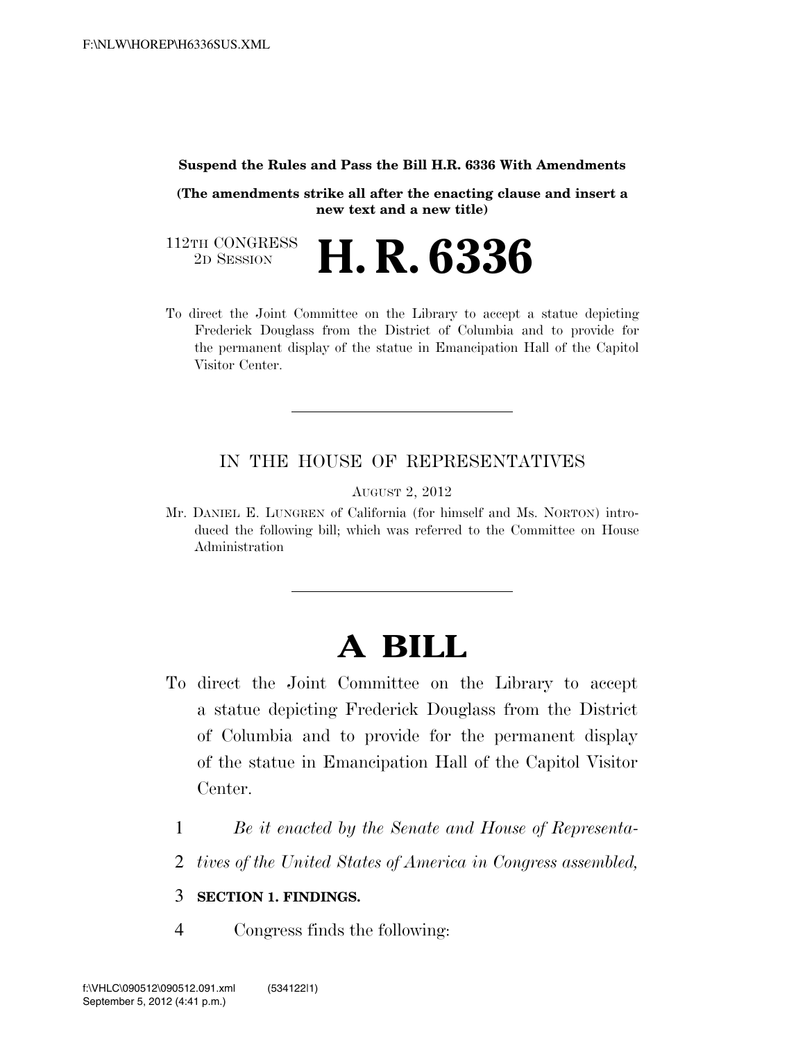## **Suspend the Rules and Pass the Bill H.R. 6336 With Amendments**

**(The amendments strike all after the enacting clause and insert a new text and a new title)**

112TH CONGRESS<br>2D SESSION 2D SESSION **H. R. 6336**

To direct the Joint Committee on the Library to accept a statue depicting Frederick Douglass from the District of Columbia and to provide for the permanent display of the statue in Emancipation Hall of the Capitol Visitor Center.

## IN THE HOUSE OF REPRESENTATIVES

AUGUST 2, 2012

Mr. DANIEL E. LUNGREN of California (for himself and Ms. NORTON) introduced the following bill; which was referred to the Committee on House Administration

## **A BILL**

- To direct the Joint Committee on the Library to accept a statue depicting Frederick Douglass from the District of Columbia and to provide for the permanent display of the statue in Emancipation Hall of the Capitol Visitor Center.
	- 1 *Be it enacted by the Senate and House of Representa-*
	- 2 *tives of the United States of America in Congress assembled,*

## 3 **SECTION 1. FINDINGS.**

4 Congress finds the following: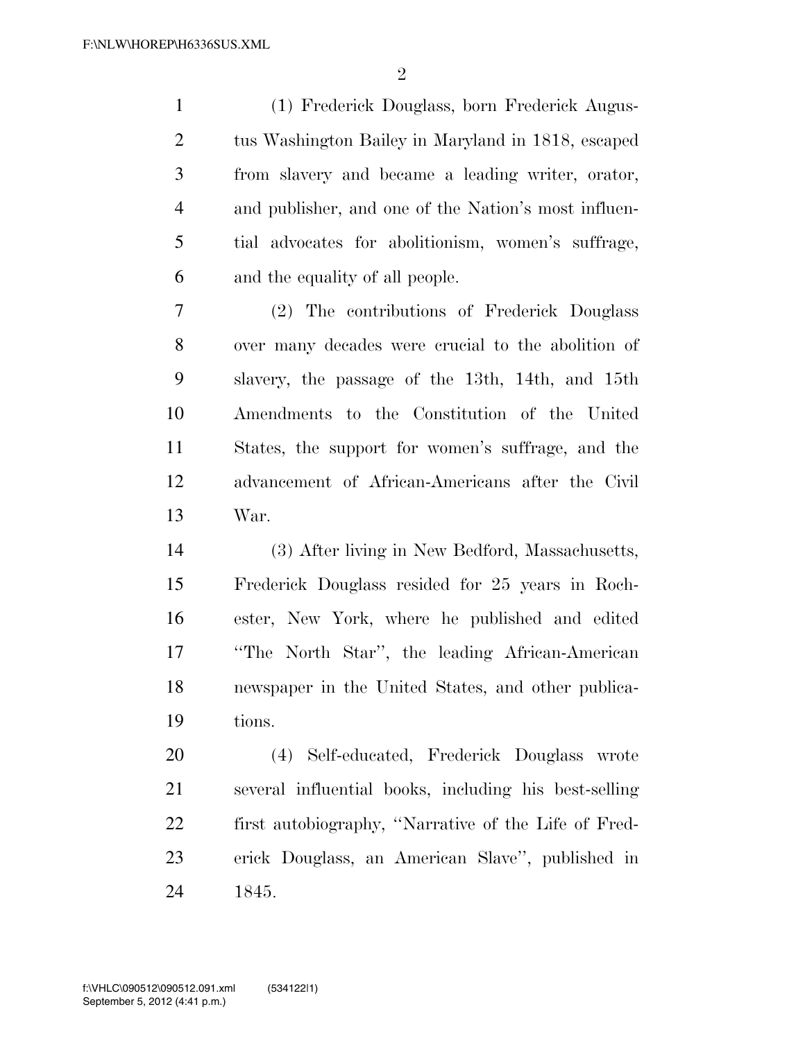(1) Frederick Douglass, born Frederick Augus- tus Washington Bailey in Maryland in 1818, escaped from slavery and became a leading writer, orator, and publisher, and one of the Nation's most influen- tial advocates for abolitionism, women's suffrage, and the equality of all people.

 (2) The contributions of Frederick Douglass over many decades were crucial to the abolition of slavery, the passage of the 13th, 14th, and 15th Amendments to the Constitution of the United States, the support for women's suffrage, and the advancement of African-Americans after the Civil War.

 (3) After living in New Bedford, Massachusetts, Frederick Douglass resided for 25 years in Roch- ester, New York, where he published and edited ''The North Star'', the leading African-American newspaper in the United States, and other publica-tions.

 (4) Self-educated, Frederick Douglass wrote several influential books, including his best-selling first autobiography, ''Narrative of the Life of Fred- erick Douglass, an American Slave'', published in 1845.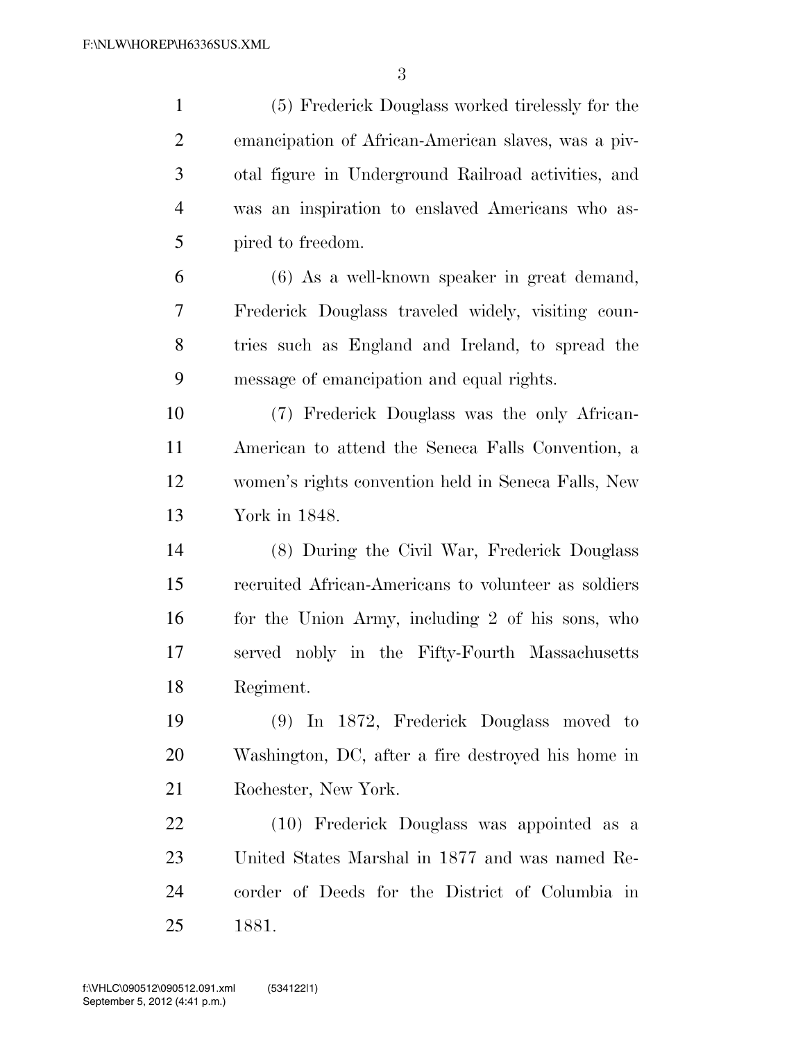| $\mathbf{1}$   | (5) Frederick Douglass worked tirelessly for the     |
|----------------|------------------------------------------------------|
| $\overline{2}$ | emancipation of African-American slaves, was a piv-  |
| 3              | otal figure in Underground Railroad activities, and  |
| $\overline{4}$ | was an inspiration to enslaved Americans who as-     |
| 5              | pired to freedom.                                    |
| 6              | (6) As a well-known speaker in great demand,         |
| 7              | Frederick Douglass traveled widely, visiting coun-   |
| $8\,$          | tries such as England and Ireland, to spread the     |
| 9              | message of emancipation and equal rights.            |
| 10             | (7) Frederick Douglass was the only African-         |
| 11             | American to attend the Seneca Falls Convention, a    |
| 12             | women's rights convention held in Seneca Falls, New  |
| 13             | York in 1848.                                        |
| 14             | (8) During the Civil War, Frederick Douglass         |
| 15             | recruited African-Americans to volunteer as soldiers |
| 16             | for the Union Army, including 2 of his sons, who     |
| 17             | served nobly in the Fifty-Fourth Massachusetts       |
| 18             | Regiment.                                            |
| 19             | (9) In 1872, Frederick Douglass moved to             |
| 20             | Washington, DC, after a fire destroyed his home in   |
| 21             | Rochester, New York.                                 |
| 22             | (10) Frederick Douglass was appointed as a           |
| 23             | United States Marshal in 1877 and was named Re-      |
| 24             | corder of Deeds for the District of Columbia in      |
| 25             | 1881.                                                |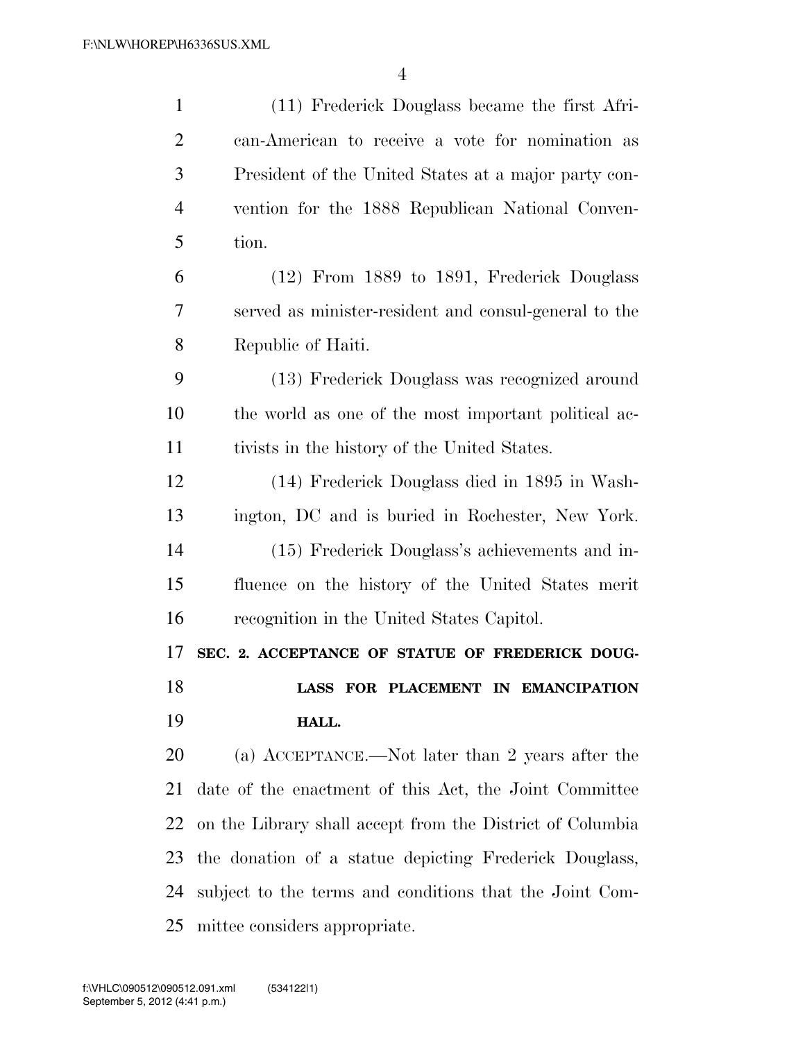| $\mathbf{1}$   | (11) Frederick Douglass became the first Afri-            |
|----------------|-----------------------------------------------------------|
| $\overline{2}$ | can-American to receive a vote for nomination as          |
| 3              | President of the United States at a major party con-      |
| $\overline{4}$ | vention for the 1888 Republican National Conven-          |
| 5              | tion.                                                     |
| 6              | (12) From 1889 to 1891, Frederick Douglass                |
| 7              | served as minister-resident and consul-general to the     |
| 8              | Republic of Haiti.                                        |
| 9              | (13) Frederick Douglass was recognized around             |
| 10             | the world as one of the most important political ac-      |
| 11             | tivists in the history of the United States.              |
| 12             | (14) Frederick Douglass died in 1895 in Wash-             |
| 13             | ington, DC and is buried in Rochester, New York.          |
| 14             | (15) Frederick Douglass's achievements and in-            |
| 15             | fluence on the history of the United States merit         |
| 16             | recognition in the United States Capitol.                 |
| 17             | SEC. 2. ACCEPTANCE OF STATUE OF FREDERICK DOUG-           |
| 18             | LASS FOR PLACEMENT IN EMANCIPATION                        |
| 19             | HALL.                                                     |
| 20             | (a) ACCEPTANCE.—Not later than 2 years after the          |
| 21             | date of the enactment of this Act, the Joint Committee    |
| 22             | on the Library shall accept from the District of Columbia |
| 23             | the donation of a statue depicting Frederick Douglass,    |
| 24             | subject to the terms and conditions that the Joint Com-   |
| 25             | mittee considers appropriate.                             |